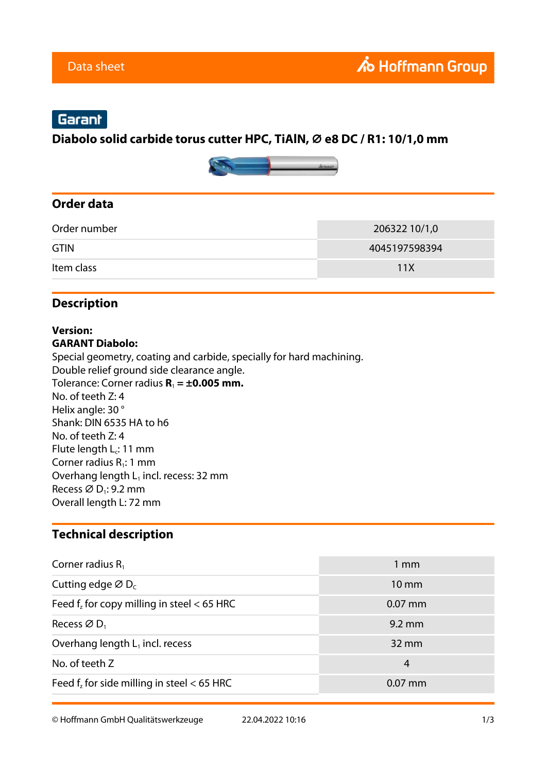# Garant

#### **Diabolo solid carbide torus cutter HPC, TiAlN, ⌀ e8 DC / R1: 10/1,0 mm**



#### **Order data**

| Order number | 206322 10/1,0 |
|--------------|---------------|
| <b>GTIN</b>  | 4045197598394 |
| Item class   | 11X           |

### **Description**

#### **Version: GARANT Diabolo:**

Special geometry, coating and carbide, specially for hard machining. Double relief ground side clearance angle. Tolerance: Corner radius  $R_1 = \pm 0.005$  mm. No. of teeth Z: 4 Helix angle: 30 ° Shank: DIN 6535 HA to h6 No. of teeth Z: 4 Flute length  $L_c$ : 11 mm Corner radius  $R_1$ : 1 mm Overhang length  $L_1$  incl. recess: 32 mm Recess  $\varnothing$  D<sub>1</sub>: 9.2 mm Overall length L: 72 mm

#### **Technical description**

| Corner radius $R_1$                             | $1 \text{ mm}$   |
|-------------------------------------------------|------------------|
| Cutting edge $\varnothing$ D <sub>c</sub>       | $10 \text{ mm}$  |
| Feed $f_z$ for copy milling in steel $<$ 65 HRC | $0.07$ mm        |
| Recess $\varnothing$ D <sub>1</sub>             | $9.2 \text{ mm}$ |
| Overhang length $L_1$ incl. recess              | $32 \text{ mm}$  |
| No. of teeth Z                                  | 4                |
| Feed f, for side milling in steel $<$ 65 HRC    | $0.07$ mm        |

© Hoffmann GmbH Qualitätswerkzeuge 22.04.2022 10:16 1/3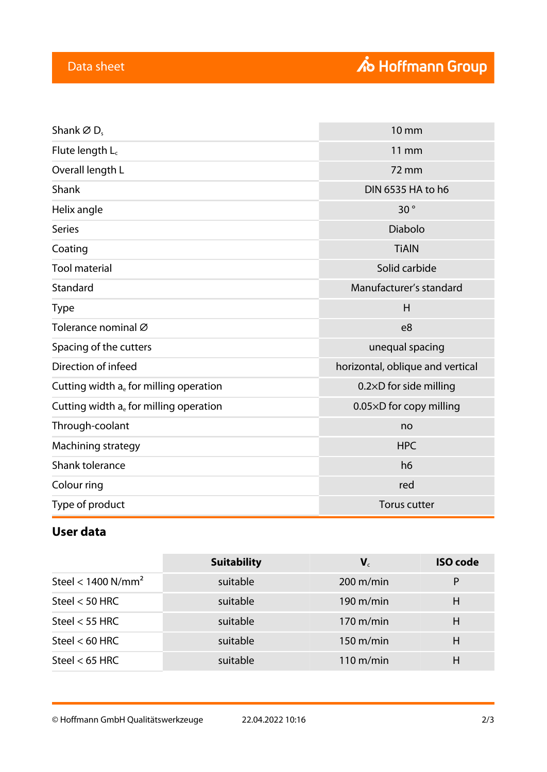| Shank $\varnothing$ D <sub>s</sub>        | <b>10 mm</b>                     |
|-------------------------------------------|----------------------------------|
| Flute length $L_c$                        | <b>11 mm</b>                     |
| Overall length L                          | 72 mm                            |
| Shank                                     | DIN 6535 HA to h6                |
| Helix angle                               | 30°                              |
| <b>Series</b>                             | <b>Diabolo</b>                   |
| Coating                                   | <b>TiAIN</b>                     |
| <b>Tool material</b>                      | Solid carbide                    |
| Standard                                  | Manufacturer's standard          |
| <b>Type</b>                               | H                                |
| Tolerance nominal Ø                       | e <sub>8</sub>                   |
| Spacing of the cutters                    | unequal spacing                  |
| Direction of infeed                       | horizontal, oblique and vertical |
| Cutting width $a_e$ for milling operation | 0.2×D for side milling           |
| Cutting width a. for milling operation    | 0.05×D for copy milling          |
| Through-coolant                           | no                               |
| <b>HPC</b><br>Machining strategy          |                                  |
| Shank tolerance                           | h <sub>6</sub>                   |
| Colour ring                               | red                              |
| Type of product                           | <b>Torus cutter</b>              |

## **User data**

|                                  | <b>Suitability</b> | $\mathbf{V}_{c}$    | <b>ISO</b> code |
|----------------------------------|--------------------|---------------------|-----------------|
| Steel < $1400$ N/mm <sup>2</sup> | suitable           | $200 \text{ m/min}$ | P               |
| Steel $<$ 50 HRC                 | suitable           | $190 \text{ m/min}$ | н               |
| Steel $<$ 55 HRC                 | suitable           | $170 \text{ m/min}$ | H               |
| Steel $<$ 60 HRC                 | suitable           | $150 \text{ m/min}$ | H               |
| Steel $<$ 65 HRC                 | suitable           | $110 \text{ m/min}$ | H               |